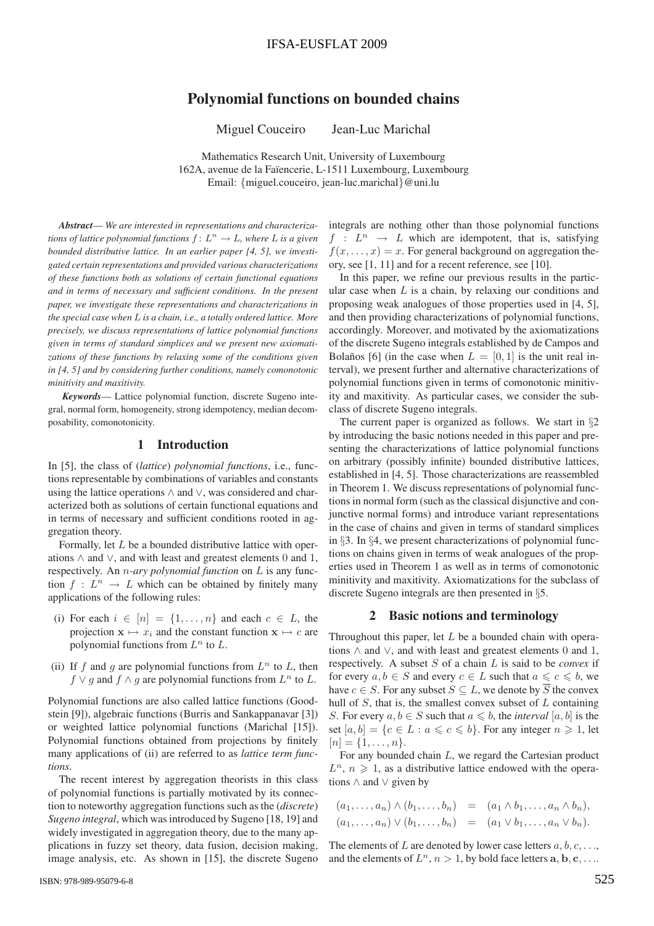# Polynomial functions on bounded chains

Miguel Couceiro Jean-Luc Marichal

Mathematics Research Unit, University of Luxembourg 162A, avenue de la Faïencerie, L-1511 Luxembourg, Luxembourg Email: {miguel.couceiro, jean-luc.marichal}@uni.lu

*Abstract*— *We are interested in representations and characterizations of lattice polynomial functions*  $f: L^n \to L$ *, where* L *is a given bounded distributive lattice. In an earlier paper [4, 5], we investigated certain representations and provided various characterizations of these functions both as solutions of certain functional equations and in terms of necessary and sufficient conditions. In the present paper, we investigate these representations and characterizations in the special case when* L *is a chain, i.e., a totally ordered lattice. More precisely, we discuss representations of lattice polynomial functions given in terms of standard simplices and we present new axiomatizations of these functions by relaxing some of the conditions given in [4, 5] and by considering further conditions, namely comonotonic minitivity and maxitivity.*

*Keywords*— Lattice polynomial function, discrete Sugeno integral, normal form, homogeneity, strong idempotency, median decomposability, comonotonicity.

## 1 Introduction

In [5], the class of (*lattice*) *polynomial functions*, i.e., functions representable by combinations of variables and constants using the lattice operations ∧ and ∨, was considered and characterized both as solutions of certain functional equations and in terms of necessary and sufficient conditions rooted in aggregation theory.

Formally, let L be a bounded distributive lattice with operations  $\land$  and  $\lor$ , and with least and greatest elements 0 and 1, respectively. An n*-ary polynomial function* on L is any function  $f: L^n \to L$  which can be obtained by finitely many applications of the following rules:

- (i) For each  $i \in [n] = \{1, \ldots, n\}$  and each  $c \in L$ , the projection  $\mathbf{x} \mapsto x_i$  and the constant function  $\mathbf{x} \mapsto c$  are polynomial functions from  $L^n$  to  $L$ .
- (ii) If f and g are polynomial functions from  $L^n$  to L, then  $f \vee g$  and  $f \wedge g$  are polynomial functions from  $L^n$  to  $L$ .

Polynomial functions are also called lattice functions (Goodstein [9]), algebraic functions (Burris and Sankappanavar [3]) or weighted lattice polynomial functions (Marichal [15]). Polynomial functions obtained from projections by finitely many applications of (ii) are referred to as *lattice term functions*.

The recent interest by aggregation theorists in this class of polynomial functions is partially motivated by its connection to noteworthy aggregation functions such as the (*discrete*) *Sugeno integral*, which was introduced by Sugeno [18, 19] and widely investigated in aggregation theory, due to the many applications in fuzzy set theory, data fusion, decision making, image analysis, etc. As shown in [15], the discrete Sugeno

ISBN: 978-989-95079-6-8

integrals are nothing other than those polynomial functions  $f: L^n \rightarrow L$  which are idempotent, that is, satisfying  $f(x, \ldots, x) = x$ . For general background on aggregation theory, see [1, 11] and for a recent reference, see [10].

In this paper, we refine our previous results in the particular case when  $L$  is a chain, by relaxing our conditions and proposing weak analogues of those properties used in [4, 5], and then providing characterizations of polynomial functions, accordingly. Moreover, and motivated by the axiomatizations of the discrete Sugeno integrals established by de Campos and Bolaños [6] (in the case when  $L = [0, 1]$  is the unit real interval), we present further and alternative characterizations of polynomial functions given in terms of comonotonic minitivity and maxitivity. As particular cases, we consider the subclass of discrete Sugeno integrals.

The current paper is organized as follows. We start in  $\S2$ by introducing the basic notions needed in this paper and presenting the characterizations of lattice polynomial functions on arbitrary (possibly infinite) bounded distributive lattices, established in [4, 5]. Those characterizations are reassembled in Theorem 1. We discuss representations of polynomial functions in normal form (such as the classical disjunctive and conjunctive normal forms) and introduce variant representations in the case of chains and given in terms of standard simplices in §3. In §4, we present characterizations of polynomial functions on chains given in terms of weak analogues of the properties used in Theorem 1 as well as in terms of comonotonic minitivity and maxitivity. Axiomatizations for the subclass of discrete Sugeno integrals are then presented in §5.

## 2 Basic notions and terminology

Throughout this paper, let  $L$  be a bounded chain with operations  $\land$  and  $\lor$ , and with least and greatest elements 0 and 1, respectively. A subset S of a chain L is said to be *convex* if for every  $a, b \in S$  and every  $c \in L$  such that  $a \leqslant c \leqslant b$ , we have  $c \in S$ . For any subset  $S \subseteq L$ , we denote by  $\overline{S}$  the convex hull of  $S$ , that is, the smallest convex subset of  $L$  containing S. For every  $a, b \in S$  such that  $a \leq b$ , the *interval*  $[a, b]$  is the set  $[a, b] = \{c \in L : a \leqslant c \leqslant b\}$ . For any integer  $n \geqslant 1$ , let  $[n] = \{1, \ldots, n\}.$ 

For any bounded chain L, we regard the Cartesian product  $L^n$ ,  $n \geq 1$ , as a distributive lattice endowed with the operations ∧ and ∨ given by

$$
(a_1,\ldots,a_n)\wedge(b_1,\ldots,b_n) = (a_1\wedge b_1,\ldots,a_n\wedge b_n),
$$
  

$$
(a_1,\ldots,a_n)\vee(b_1,\ldots,b_n) = (a_1\vee b_1,\ldots,a_n\vee b_n).
$$

The elements of L are denoted by lower case letters  $a, b, c, \ldots$ , and the elements of  $L^n$ ,  $n > 1$ , by bold face letters  $a, b, c, \ldots$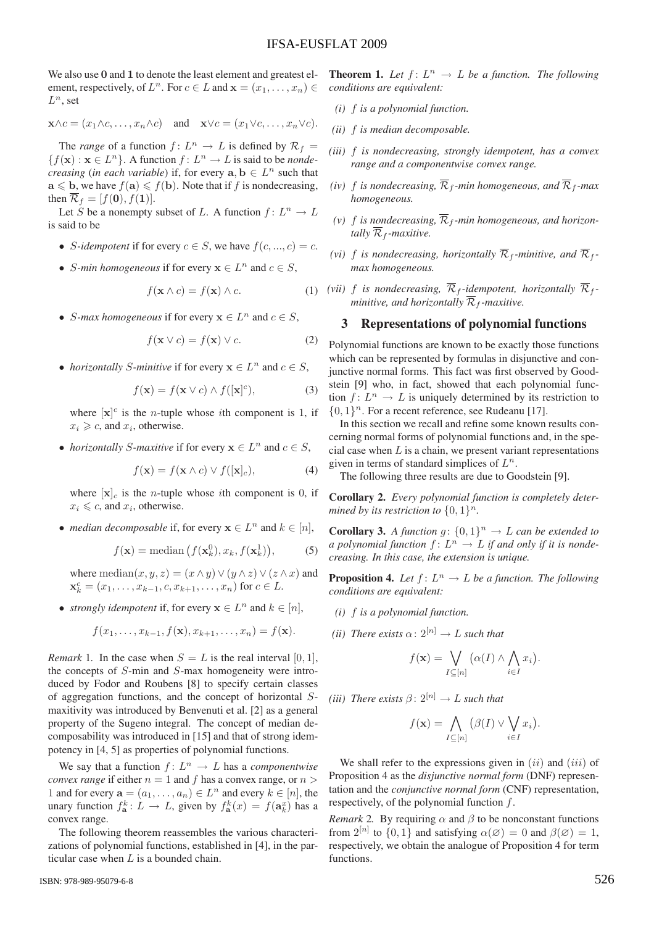We also use **0** and **1** to denote the least element and greatest element, respectively, of  $L^n$ . For  $c \in L$  and  $\mathbf{x} = (x_1, \ldots, x_n) \in$  $L^n$ , set

$$
\mathbf{x} \wedge c = (x_1 \wedge c, \dots, x_n \wedge c)
$$
 and  $\mathbf{x} \vee c = (x_1 \vee c, \dots, x_n \vee c).$ 

The *range* of a function  $f: L^n \to L$  is defined by  $\mathcal{R}_f =$  ${f(\mathbf{x}) : \mathbf{x} \in L^n}$ . A function  $f: L^n \to L$  is said to be *nondecreasing* (*in each variable*) if, for every  $\mathbf{a}, \mathbf{b} \in L^n$  such that  $\mathbf{a} \leqslant \mathbf{b}$ , we have  $f(\mathbf{a}) \leqslant f(\mathbf{b})$ . Note that if f is nondecreasing, then  $\overline{\mathcal{R}}_f = [f(\mathbf{0}), f(\mathbf{1})].$ 

Let S be a nonempty subset of L. A function  $f: L^n \to L$ is said to be

- *S*-idempotent if for every  $c \in S$ , we have  $f(c, ..., c) = c$ .
- *S*-min homogeneous if for every  $x \in L^n$  and  $c \in S$ ,

$$
f(\mathbf{x} \wedge c) = f(\mathbf{x}) \wedge c. \tag{1}
$$

• *S*-max homogeneous if for every  $x \in L^n$  and  $c \in S$ ,

$$
f(\mathbf{x} \lor c) = f(\mathbf{x}) \lor c. \tag{2}
$$

• *horizontally S*-minitive if for every  $x \in L^n$  and  $c \in S$ ,

$$
f(\mathbf{x}) = f(\mathbf{x} \lor c) \land f([\mathbf{x}]^c), \tag{3}
$$

where  $[\mathbf{x}]^c$  is the *n*-tuple whose *i*th component is 1, if  $x_i \geq c$ , and  $x_i$ , otherwise.

• *horizontally S*-maxitive if for every  $x \in L^n$  and  $c \in S$ ,

$$
f(\mathbf{x}) = f(\mathbf{x} \wedge c) \vee f([\mathbf{x}]_c), \tag{4}
$$

where  $[\mathbf{x}]_c$  is the *n*-tuple whose *i*th component is 0, if  $x_i \leq c$ , and  $x_i$ , otherwise.

• *median decomposable* if, for every  $x \in L^n$  and  $k \in [n]$ ,

$$
f(\mathbf{x}) = \text{median}\left(f(\mathbf{x}_k^0), x_k, f(\mathbf{x}_k^1)\right),\tag{5}
$$

where median $(x, y, z)=(x \wedge y) \vee (y \wedge z) \vee (z \wedge x)$  and  $\mathbf{x}_k^c = (x_1, \ldots, x_{k-1}, c, x_{k+1}, \ldots, x_n)$  for  $c \in L$ .

• *strongly idempotent* if, for every  $x \in L^n$  and  $k \in [n]$ ,

$$
f(x_1,\ldots,x_{k-1},f(\mathbf{x}),x_{k+1},\ldots,x_n)=f(\mathbf{x}).
$$

*Remark* 1. In the case when  $S = L$  is the real interval [0, 1], the concepts of S-min and S-max homogeneity were introduced by Fodor and Roubens [8] to specify certain classes of aggregation functions, and the concept of horizontal Smaxitivity was introduced by Benvenuti et al. [2] as a general property of the Sugeno integral. The concept of median decomposability was introduced in [15] and that of strong idempotency in [4, 5] as properties of polynomial functions.

We say that a function  $f: L^n \to L$  has a *componentwise convex range* if either  $n = 1$  and f has a convex range, or  $n >$ 1 and for every  $\mathbf{a} = (a_1, \dots, a_n) \in L^n$  and every  $k \in [n]$ , the unary function  $f_{\mathbf{a}}^k : L \to L$ , given by  $f_{\mathbf{a}}^k(x) = f(\mathbf{a}_k^x)$  has a convex range.

The following theorem reassembles the various characterizations of polynomial functions, established in [4], in the particular case when  $L$  is a bounded chain.

**Theorem 1.** Let  $f: L^n \to L$  be a function. The following *conditions are equivalent:*

- *(i)* f *is a polynomial function.*
- *(ii)* f *is median decomposable.*
- *(iii)* f *is nondecreasing, strongly idempotent, has a convex range and a componentwise convex range.*
- *(iv)* f *is nondecreasing*,  $\overline{\mathcal{R}}_f$ *-min homogeneous, and*  $\overline{\mathcal{R}}_f$ *-max homogeneous.*
- (v) f *is nondecreasing*,  $\overline{\mathcal{R}}_f$ -min homogeneous, and horizon*tally*  $\overline{\mathcal{R}}_f$ *-maxitive.*
- *(vi)* f *is nondecreasing, horizontally*  $\overline{\mathcal{R}}_f$ *-minitive, and*  $\overline{\mathcal{R}}_f$ *max homogeneous.*
- *(vii)* f *is nondecreasing,*  $\overline{\mathcal{R}}_f$ -idempotent, horizontally  $\overline{\mathcal{R}}_f$ *minitive, and horizontally*  $\overline{\mathcal{R}}_f$ *-maxitive.*

## 3 Representations of polynomial functions

Polynomial functions are known to be exactly those functions which can be represented by formulas in disjunctive and conjunctive normal forms. This fact was first observed by Goodstein [9] who, in fact, showed that each polynomial function  $f: L^n \to L$  is uniquely determined by its restriction to  ${0, 1}^n$ . For a recent reference, see Rudeanu [17].

In this section we recall and refine some known results concerning normal forms of polynomial functions and, in the special case when  $L$  is a chain, we present variant representations given in terms of standard simplices of  $L^n$ .

The following three results are due to Goodstein [9].

Corollary 2. *Every polynomial function is completely determined by its restriction to*  $\{0, 1\}^n$ *.* 

**Corollary 3.** *A function*  $g: \{0, 1\}^n \rightarrow L$  *can be extended to a polynomial function*  $f: L^n \to L$  *if and only if it is nondecreasing. In this case, the extension is unique.*

**Proposition 4.** Let  $f: L^n \to L$  be a function. The following *conditions are equivalent:*

- *(i)* f *is a polynomial function.*
- *(ii)* There exists  $\alpha: 2^{[n]} \rightarrow L$  *such that*

$$
f(\mathbf{x}) = \bigvee_{I \subseteq [n]} (\alpha(I) \wedge \bigwedge_{i \in I} x_i).
$$

*(iii)* There exists  $\beta$ :  $2^{[n]} \rightarrow L$  *such that* 

$$
f(\mathbf{x}) = \bigwedge_{I \subseteq [n]} (\beta(I) \vee \bigvee_{i \in I} x_i).
$$

We shall refer to the expressions given in  $(ii)$  and  $(iii)$  of Proposition 4 as the *disjunctive normal form* (DNF) representation and the *conjunctive normal form* (CNF) representation, respectively, of the polynomial function f.

*Remark* 2. By requiring  $\alpha$  and  $\beta$  to be nonconstant functions from  $2^{[n]}$  to  $\{0,1\}$  and satisfying  $\alpha(\emptyset)=0$  and  $\beta(\emptyset)=1$ , respectively, we obtain the analogue of Proposition 4 for term functions.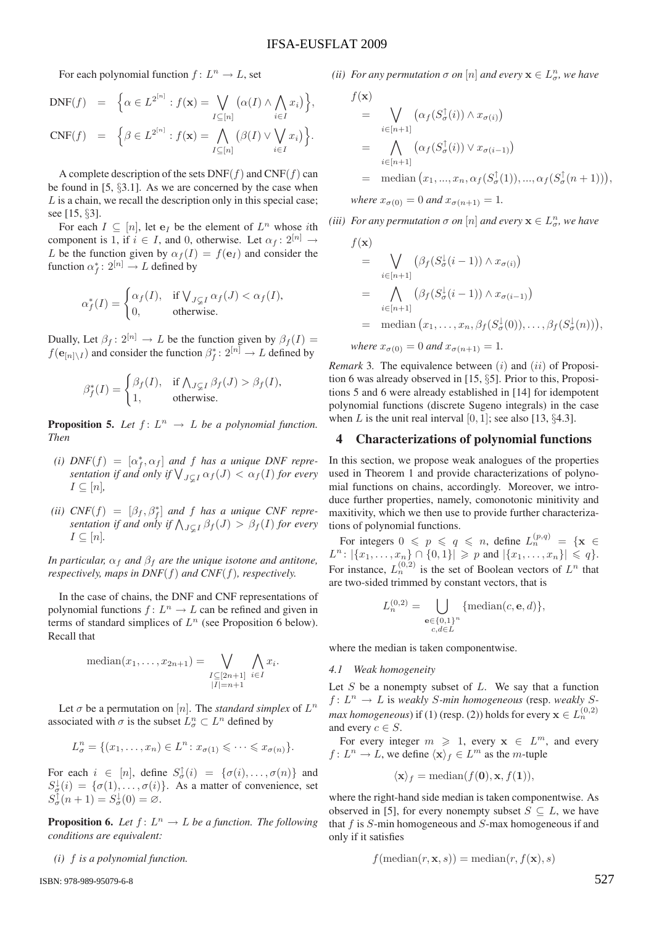,

For each polynomial function  $f: L^n \to L$ , set

$$
DNF(f) = \left\{ \alpha \in L^{2^{[n]}} : f(\mathbf{x}) = \bigvee_{I \subseteq [n]} \left( \alpha(I) \wedge \bigwedge_{i \in I} x_i \right) \right\},
$$
  
\n
$$
CNF(f) = \left\{ \beta \in L^{2^{[n]}} : f(\mathbf{x}) = \bigwedge_{I \subseteq [n]} \left( \beta(I) \vee \bigvee_{i \in I} x_i \right) \right\}.
$$

A complete description of the sets  $DNF(f)$  and  $CNF(f)$  can be found in [5, §3.1]. As we are concerned by the case when  $L$  is a chain, we recall the description only in this special case; see [15, §3].

For each  $I \subseteq [n]$ , let  $e_I$  be the element of  $L^n$  whose ith component is 1, if  $i \in I$ , and 0, otherwise. Let  $\alpha_f : 2^{[n]} \rightarrow$ L be the function given by  $\alpha_f(I) = f(e_I)$  and consider the function  $\alpha_f^*: 2^{[n]} \to L$  defined by

$$
\alpha_f^*(I) = \begin{cases} \alpha_f(I), & \text{if } \bigvee_{J \subsetneq I} \alpha_f(J) < \alpha_f(I), \\ 0, & \text{otherwise.} \end{cases}
$$

Dually, Let  $\beta_f$ :  $2^{[n]} \rightarrow L$  be the function given by  $\beta_f(I) =$  $f(\mathbf{e}_{[n]\setminus I})$  and consider the function  $\beta_f^*: 2^{[n]} \to L$  defined by

$$
\beta_f^*(I) = \begin{cases} \beta_f(I), & \text{if } \bigwedge_{J \subsetneq I} \beta_f(J) > \beta_f(I), \\ 1, & \text{otherwise.} \end{cases}
$$

**Proposition 5.** Let  $f: L^n \to L$  be a polynomial function. *Then*

- (*i*)  $DNF(f) = [\alpha_f^*, \alpha_f]$  and f has a unique DNF representation if and only if  $\bigvee_{J\subsetneq I}\alpha_f(J)<\alpha_f(I)$  for every  $I \subseteq [n]$ ,
- (*ii*)  $CNF(f) = [\beta_f, \beta_f^*]$  and f has a unique CNF repre*sentation if and only if*  $\bigwedge_{J \subsetneq I} \beta_f(J) > \beta_f(I)$  *for every*  $I \subseteq [n]$ .

*In particular,*  $\alpha_f$  *and*  $\beta_f$  *are the unique isotone and antitone, respectively, maps in DNF*(f) *and CNF*(f)*, respectively.*

In the case of chains, the DNF and CNF representations of polynomial functions  $f: L^n \to L$  can be refined and given in terms of standard simplices of  $L^n$  (see Proposition 6 below). Recall that

median
$$
(x_1,...,x_{2n+1})
$$
 =  $\bigvee_{\substack{I \subseteq [2n+1] \\ |I|=n+1}} \bigwedge_{i \in I} x_i$ .

Let  $\sigma$  be a permutation on [n]. The *standard simplex* of  $L^n$ associated with  $\sigma$  is the subset  $L_{\sigma}^{n} \subset L^{n}$  defined by

$$
L_{\sigma}^{n} = \{ (x_1, \ldots, x_n) \in L^n : x_{\sigma(1)} \leqslant \cdots \leqslant x_{\sigma(n)} \}.
$$

For each  $i \in [n]$ , define  $S_{\sigma}^{\uparrow}(i) = {\sigma(i), \ldots, \sigma(n)}$  and  $S^{\downarrow}_{\sigma}(i) = {\sigma(1), \ldots, \sigma(i)}$ . As a matter of convenience, set  $S_{\sigma}^{\dagger}(n+1) = S_{\sigma}^{\dagger}(0) = \varnothing.$ 

**Proposition 6.** Let  $f: L^n \to L$  be a function. The following *conditions are equivalent:*

*(i)* f *is a polynomial function.*

ISBN: 978-989-95079-6-8

*(ii)* For any permutation  $\sigma$  on  $[n]$  and every  $\mathbf{x} \in L^n_{\sigma}$ , we have

$$
f(\mathbf{x})
$$
  
= 
$$
\bigvee_{i \in [n+1]} (\alpha_f(S^{\uparrow}_{\sigma}(i)) \wedge x_{\sigma(i)})
$$
  
= 
$$
\bigwedge_{i \in [n+1]} (\alpha_f(S^{\uparrow}_{\sigma}(i)) \vee x_{\sigma(i-1)})
$$
  
= median  $(x_1, ..., x_n, \alpha_f(S^{\uparrow}_{\sigma}(1)), ..., \alpha_f(S^{\uparrow}_{\sigma}(n+1))),$   
where  $x_{\sigma(0)} = 0$  and  $x_{\sigma(n+1)} = 1$ .

*(iii)* For any permutation  $\sigma$  on  $[n]$  and every  $\mathbf{x} \in L^n_{\sigma}$ , we have

$$
f(\mathbf{x})
$$
  
= 
$$
\bigvee_{i \in [n+1]} (\beta_f(S^{\downarrow}_{\sigma}(i-1)) \wedge x_{\sigma(i)})
$$
  
= 
$$
\bigwedge_{i \in [n+1]} (\beta_f(S^{\downarrow}_{\sigma}(i-1)) \wedge x_{\sigma(i-1)})
$$
  
= median  $(x_1, \ldots, x_n, \beta_f(S^{\downarrow}_{\sigma}(0)), \ldots, \beta_f(S^{\downarrow}_{\sigma}(n)))$ ,

*where*  $x_{\sigma(0)} = 0$  *and*  $x_{\sigma(n+1)} = 1$ *.* 

*Remark* 3. The equivalence between  $(i)$  and  $(ii)$  of Proposition 6 was already observed in [15, §5]. Prior to this, Propositions 5 and 6 were already established in [14] for idempotent polynomial functions (discrete Sugeno integrals) in the case when L is the unit real interval  $[0, 1]$ ; see also  $[13, 84.3]$ .

## 4 Characterizations of polynomial functions

In this section, we propose weak analogues of the properties used in Theorem 1 and provide characterizations of polynomial functions on chains, accordingly. Moreover, we introduce further properties, namely, comonotonic minitivity and maxitivity, which we then use to provide further characterizations of polynomial functions.

For integers  $0 \leq p \leq q \leq n$ , define  $L_n^{(p,q)} = {\mathbf{x}} \in$  $L^n: |\{x_1, \ldots, x_n\} \cap \{0, 1\}| \geqslant p$  and  $|\{x_1, \ldots, x_n\}| \leqslant q\}.$ For instance,  $L_n^{(0,2)}$  is the set of Boolean vectors of  $L^n$  that are two-sided trimmed by constant vectors, that is

$$
L_n^{(0,2)} = \bigcup_{\substack{\mathbf{e} \in \{0,1\}^n \\ c, d \in L}} \{\text{median}(c, \mathbf{e}, d)\},
$$

where the median is taken componentwise.

#### *4.1 Weak homogeneity*

Let  $S$  be a nonempty subset of  $L$ . We say that a function  $f: L^n \to L$  is *weakly S-min homogeneous* (resp. *weakly Smax homogeneous*) if (1) (resp. (2)) holds for every  $\mathbf{x} \in L_n^{(0,2)}$ and every  $c \in S$ .

For every integer  $m \ge 1$ , every  $x \in L^m$ , and every  $f: L^n \to L$ , we define  $\langle x \rangle_f \in L^m$  as the *m*-tuple

$$
\langle \mathbf{x} \rangle_f = \text{median}(f(\mathbf{0}), \mathbf{x}, f(\mathbf{1})),
$$

where the right-hand side median is taken componentwise. As observed in [5], for every nonempty subset  $S \subseteq L$ , we have that  $f$  is  $S$ -min homogeneous and  $S$ -max homogeneous if and only if it satisfies

$$
f(\text{median}(r, \mathbf{x}, s)) = \text{median}(r, f(\mathbf{x}), s)
$$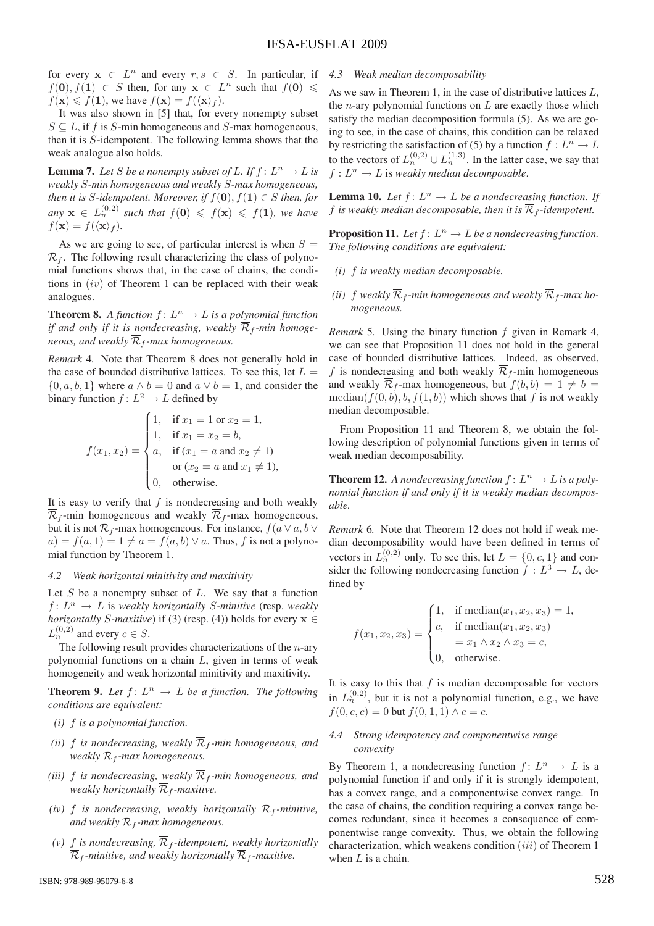for every  $x \in L^n$  and every  $r, s \in S$ . In particular, if  $f(\mathbf{0}), f(\mathbf{1}) \in S$  then, for any  $\mathbf{x} \in L^n$  such that  $f(\mathbf{0}) \leq$  $f(\mathbf{x}) \leq f(\mathbf{1})$ , we have  $f(\mathbf{x}) = f(\langle \mathbf{x} \rangle_f)$ .

It was also shown in [5] that, for every nonempty subset  $S \subseteq L$ , if f is S-min homogeneous and S-max homogeneous, then it is S-idempotent. The following lemma shows that the weak analogue also holds.

**Lemma 7.** Let S be a nonempty subset of L. If  $f: L^n \to L$  is *weakly* S*-min homogeneous and weakly* S*-max homogeneous, then it is S*-*idempotent. Moreover, if*  $f(\mathbf{0}), f(\mathbf{1}) \in S$  *then, for*  $\lim_{n \to \infty} x \in L_n^{(0,2)}$  such that  $f(0) \leqslant f(x) \leqslant f(1)$ , we have  $f(\mathbf{x}) = f(\langle \mathbf{x} \rangle_f).$ 

As we are going to see, of particular interest is when  $S =$  $\overline{\mathcal{R}}_f$ . The following result characterizing the class of polynomial functions shows that, in the case of chains, the conditions in  $(iv)$  of Theorem 1 can be replaced with their weak analogues.

**Theorem 8.** *A function*  $f: L^n \to L$  *is a polynomial function if and only if it is nondecreasing, weakly*  $\overline{\mathcal{R}}_f$ -min homoge*neous, and weakly*  $\overline{\mathcal{R}}_f$ *-max homogeneous.* 

*Remark* 4*.* Note that Theorem 8 does not generally hold in the case of bounded distributive lattices. To see this, let  $L =$  $\{0, a, b, 1\}$  where  $a \wedge b = 0$  and  $a \vee b = 1$ , and consider the binary function  $f: L^2 \to L$  defined by

$$
f(x_1, x_2) = \begin{cases} 1, & \text{if } x_1 = 1 \text{ or } x_2 = 1, \\ 1, & \text{if } x_1 = x_2 = b, \\ a, & \text{if } (x_1 = a \text{ and } x_2 \neq 1) \\ \text{or } (x_2 = a \text{ and } x_1 \neq 1), \\ 0, & \text{otherwise.} \end{cases}
$$

It is easy to verify that  $f$  is nondecreasing and both weakly  $\overline{\mathcal{R}}_f$ -min homogeneous and weakly  $\overline{\mathcal{R}}_f$ -max homogeneous, but it is not  $\overline{\mathcal{R}}_f$ -max homogeneous. For instance,  $f(a \vee a, b \vee c)$  $a) = f(a, 1) = 1 \neq a = f(a, b) \vee a$ . Thus, f is not a polynomial function by Theorem 1.

## *4.2 Weak horizontal minitivity and maxitivity*

Let S be a nonempty subset of  $L$ . We say that a function  $f: L^n \to L$  is *weakly horizontally S-minitive* (resp. *weakly horizontally* S-maxitive) if (3) (resp. (4)) holds for every  $\mathbf{x} \in$  $L_n^{(0,2)}$  and every  $c \in S$ .

The following result provides characterizations of the  $n$ -ary polynomial functions on a chain  $L$ , given in terms of weak homogeneity and weak horizontal minitivity and maxitivity.

**Theorem 9.** Let  $f: L^n \to L$  be a function. The following *conditions are equivalent:*

- *(i)* f *is a polynomial function.*
- *(ii)* f *is nondecreasing, weakly*  $\overline{\mathcal{R}}_f$ -min homogeneous, and *weakly*  $\overline{\mathcal{R}}_f$ *-max homogeneous.*
- *(iii)*  $f$  *is nondecreasing, weakly*  $\overline{\mathcal{R}}_f$ *-min homogeneous, and weakly horizontally*  $\overline{\mathcal{R}}_f$ -maxitive.
- *(iv)*  $f$  *is nondecreasing, weakly horizontally*  $\overline{\mathcal{R}}_f$ *-minitive, and weakly*  $\overline{\mathcal{R}}_f$ *-max homogeneous.*
- *(v)* f *is nondecreasing*,  $\overline{\mathcal{R}}_f$ -*idempotent, weakly horizontally*  $\overline{\mathcal{R}}_f$ *-minitive, and weakly horizontally*  $\overline{\mathcal{R}}_f$ *-maxitive.*

#### *4.3 Weak median decomposability*

As we saw in Theorem 1, in the case of distributive lattices L, the *n*-ary polynomial functions on  $L$  are exactly those which satisfy the median decomposition formula (5). As we are going to see, in the case of chains, this condition can be relaxed by restricting the satisfaction of (5) by a function  $f: L^n \to L$ to the vectors of  $L_n^{(0,2)} \cup L_n^{(1,3)}$ . In the latter case, we say that  $f: L^n \to L$  is weakly median decomposable.

**Lemma 10.** Let  $f: L^n \to L$  be a nondecreasing function. If f *is weakly median decomposable, then it is*  $\overline{\mathcal{R}}_f$ -*idempotent.* 

**Proposition 11.** Let  $f: L^n \to L$  be a nondecreasing function. *The following conditions are equivalent:*

- *(i)* f *is weakly median decomposable.*
- (*ii*) f weakly  $\overline{\mathcal{R}}_f$ -min homogeneous and weakly  $\overline{\mathcal{R}}_f$ -max ho*mogeneous.*

*Remark* 5*.* Using the binary function f given in Remark 4, we can see that Proposition 11 does not hold in the general case of bounded distributive lattices. Indeed, as observed, f is nondecreasing and both weakly  $\overline{\mathcal{R}}_f$ -min homogeneous and weakly  $\overline{\mathcal{R}}_f$ -max homogeneous, but  $f(b, b) = 1 \neq b =$ median( $f(0, b), b, f(1, b)$ ) which shows that f is not weakly median decomposable.

From Proposition 11 and Theorem 8, we obtain the following description of polynomial functions given in terms of weak median decomposability.

**Theorem 12.** A nondecreasing function  $f: L^n \to L$  is a poly*nomial function if and only if it is weakly median decomposable.*

*Remark* 6*.* Note that Theorem 12 does not hold if weak median decomposability would have been defined in terms of vectors in  $L_n^{(0,2)}$  only. To see this, let  $L = \{0, c, 1\}$  and consider the following nondecreasing function  $f : L^3 \to L$ , defined by

$$
f(x_1, x_2, x_3) = \begin{cases} 1, & \text{if median}(x_1, x_2, x_3) = 1, \\ c, & \text{if median}(x_1, x_2, x_3) \\ & = x_1 \land x_2 \land x_3 = c, \\ 0, & \text{otherwise.} \end{cases}
$$

It is easy to this that  $f$  is median decomposable for vectors in  $L_n^{(0,2)}$ , but it is not a polynomial function, e.g., we have  $f(0, c, c) = 0$  but  $f(0, 1, 1) \wedge c = c$ .

## *4.4 Strong idempotency and componentwise range convexity*

By Theorem 1, a nondecreasing function  $f: L^n \to L$  is a polynomial function if and only if it is strongly idempotent, has a convex range, and a componentwise convex range. In the case of chains, the condition requiring a convex range becomes redundant, since it becomes a consequence of componentwise range convexity. Thus, we obtain the following characterization, which weakens condition  $(iii)$  of Theorem 1 when  $L$  is a chain.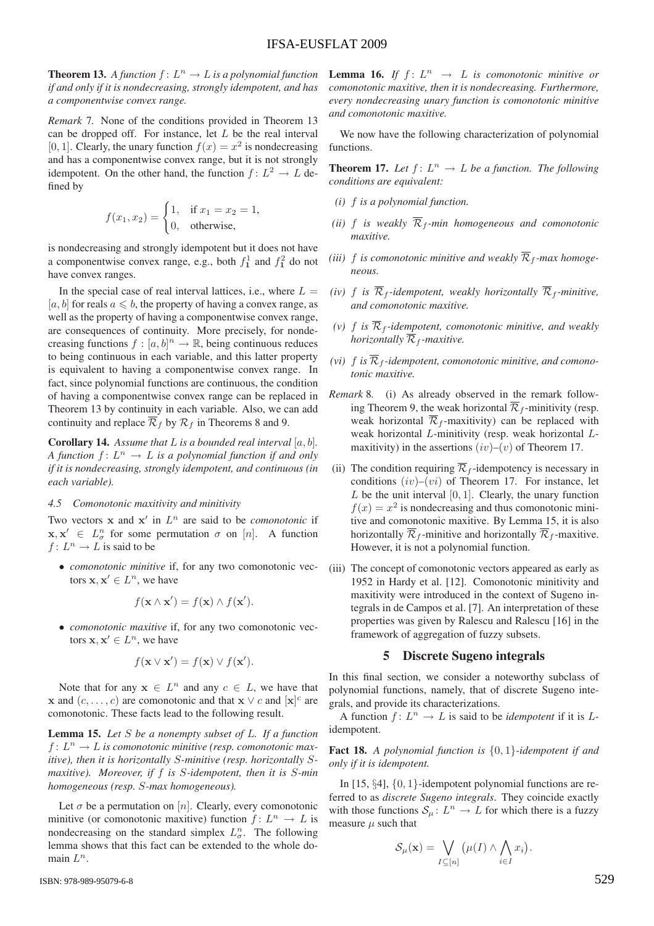**Theorem 13.** A function  $f: L^n \to L$  is a polynomial function *if and only if it is nondecreasing, strongly idempotent, and has a componentwise convex range.*

*Remark* 7*.* None of the conditions provided in Theorem 13 can be dropped off. For instance, let  $L$  be the real interval [0, 1]. Clearly, the unary function  $f(x) = x^2$  is nondecreasing and has a componentwise convex range, but it is not strongly idempotent. On the other hand, the function  $f: L^2 \to L$  defined by

$$
f(x_1, x_2) = \begin{cases} 1, & \text{if } x_1 = x_2 = 1, \\ 0, & \text{otherwise,} \end{cases}
$$

is nondecreasing and strongly idempotent but it does not have a componentwise convex range, e.g., both  $f_1^1$  and  $f_1^2$  do not have convex ranges.

In the special case of real interval lattices, i.e., where  $L =$ [a, b] for reals  $a \leq b$ , the property of having a convex range, as well as the property of having a componentwise convex range, are consequences of continuity. More precisely, for nondecreasing functions  $f : [a, b]^n \to \mathbb{R}$ , being continuous reduces to being continuous in each variable, and this latter property is equivalent to having a componentwise convex range. In fact, since polynomial functions are continuous, the condition of having a componentwise convex range can be replaced in Theorem 13 by continuity in each variable. Also, we can add continuity and replace  $\overline{\mathcal{R}}_f$  by  $\mathcal{R}_f$  in Theorems 8 and 9.

Corollary 14. *Assume that* L *is a bounded real interval* [a, b]*. A function*  $f: L^n \to L$  *is a polynomial function if and only if it is nondecreasing, strongly idempotent, and continuous (in each variable).*

## *4.5 Comonotonic maxitivity and minitivity*

Two vectors  $x$  and  $x'$  in  $L^n$  are said to be *comonotonic* if  $\mathbf{x}, \mathbf{x}' \in L^n_\sigma$  for some permutation  $\sigma$  on [n]. A function  $f: L^n \to L$  is said to be

• *comonotonic minitive* if, for any two comonotonic vectors  $x, x' \in L^n$ , we have

$$
f(\mathbf{x} \wedge \mathbf{x}') = f(\mathbf{x}) \wedge f(\mathbf{x}').
$$

• *comonotonic maxitive* if, for any two comonotonic vectors  $\mathbf{x}, \mathbf{x}' \in L^n$ , we have

$$
f(\mathbf{x} \vee \mathbf{x}') = f(\mathbf{x}) \vee f(\mathbf{x}').
$$

Note that for any  $x \in L^n$  and any  $c \in L$ , we have that **x** and  $(c, \ldots, c)$  are comonotonic and that **x**  $\vee$  *c* and  $[\mathbf{x}]^c$  are comonotonic. These facts lead to the following result.

Lemma 15. *Let* S *be a nonempty subset of* L*. If a function*  $f: L^n \to L$  is comonotonic minitive (resp. comonotonic max*itive), then it is horizontally* S*-minitive (resp. horizontally* S*maxitive). Moreover, if* f *is* S*-idempotent, then it is* S*-min homogeneous (resp.* S*-max homogeneous).*

Let  $\sigma$  be a permutation on [n]. Clearly, every comonotonic minitive (or comonotonic maxitive) function  $f: L^n \to L$  is nondecreasing on the standard simplex  $L_{\sigma}^{n}$ . The following lemma shows that this fact can be extended to the whole domain  $L^n$ .

**Lemma 16.** If  $f: L^n \rightarrow L$  is comonotonic minitive or *comonotonic maxitive, then it is nondecreasing. Furthermore, every nondecreasing unary function is comonotonic minitive and comonotonic maxitive.*

We now have the following characterization of polynomial functions.

**Theorem 17.** Let  $f: L^n \to L$  be a function. The following *conditions are equivalent:*

- *(i)* f *is a polynomial function.*
- *(ii)* f *is weakly*  $\overline{\mathcal{R}}_f$ -min homogeneous and comonotonic *maxitive.*
- (*iii*)  $f$  *is comonotonic minitive and weakly*  $\overline{\mathcal{R}}_f$ -max homoge*neous.*
- *(iv)* f *is*  $\overline{\mathcal{R}}_f$ -*idempotent, weakly horizontally*  $\overline{\mathcal{R}}_f$ -*minitive, and comonotonic maxitive.*
- (*v*)  $f$  *is*  $\mathcal{R}_f$ -idempotent, comonotonic minitive, and weakly *horizontally*  $\mathcal{R}_f$ -maxitive.
- *(vi)*  $f$  *is*  $\overline{\mathcal{R}}_f$ -*idempotent, comonotonic minitive, and comonotonic maxitive.*
- *Remark* 8*.* (i) As already observed in the remark following Theorem 9, the weak horizontal  $\overline{\mathcal{R}}_f$ -minitivity (resp. weak horizontal  $\overline{\mathcal{R}}_f$ -maxitivity) can be replaced with weak horizontal L-minitivity (resp. weak horizontal Lmaxitivity) in the assertions  $(iv)$ – $(v)$  of Theorem 17.
- (ii) The condition requiring  $\overline{\mathcal{R}}_f$ -idempotency is necessary in conditions  $(iv)$ – $(vi)$  of Theorem 17. For instance, let  $L$  be the unit interval  $[0, 1]$ . Clearly, the unary function  $f(x) = x^2$  is nondecreasing and thus comonotonic minitive and comonotonic maxitive. By Lemma 15, it is also horizontally  $\overline{\mathcal{R}}_f$ -minitive and horizontally  $\overline{\mathcal{R}}_f$ -maxitive. However, it is not a polynomial function.
- (iii) The concept of comonotonic vectors appeared as early as 1952 in Hardy et al. [12]. Comonotonic minitivity and maxitivity were introduced in the context of Sugeno integrals in de Campos et al. [7]. An interpretation of these properties was given by Ralescu and Ralescu [16] in the framework of aggregation of fuzzy subsets.

## 5 Discrete Sugeno integrals

In this final section, we consider a noteworthy subclass of polynomial functions, namely, that of discrete Sugeno integrals, and provide its characterizations.

A function  $f: L^n \to L$  is said to be *idempotent* if it is Lidempotent.

Fact 18. *A polynomial function is* {0, 1}*-idempotent if and only if it is idempotent.*

In [15, §4], {0, 1}-idempotent polynomial functions are referred to as *discrete Sugeno integrals*. They coincide exactly with those functions  $S_{\mu} : L^{n} \to L$  for which there is a fuzzy measure  $\mu$  such that

$$
\mathcal{S}_{\mu}(\mathbf{x}) = \bigvee_{I \subseteq [n]} \left( \mu(I) \wedge \bigwedge_{i \in I} x_i \right).
$$